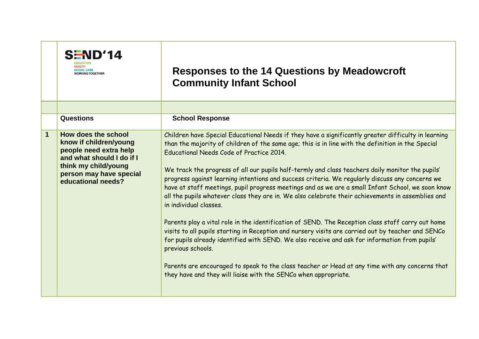| <b>SEND'14</b><br><b>/ORKING TOGETHER</b>                                                                                                                                                    | <b>Responses to the 14 Questions by Meadowcroft</b><br><b>Community Infant School</b>                                                                                                                                                                                                                                                                                                                                                                                                                                                                                                                                                                                                                                                                                                                                                                                                                                                                                                                                                                                                                                                                                                                  |
|----------------------------------------------------------------------------------------------------------------------------------------------------------------------------------------------|--------------------------------------------------------------------------------------------------------------------------------------------------------------------------------------------------------------------------------------------------------------------------------------------------------------------------------------------------------------------------------------------------------------------------------------------------------------------------------------------------------------------------------------------------------------------------------------------------------------------------------------------------------------------------------------------------------------------------------------------------------------------------------------------------------------------------------------------------------------------------------------------------------------------------------------------------------------------------------------------------------------------------------------------------------------------------------------------------------------------------------------------------------------------------------------------------------|
|                                                                                                                                                                                              |                                                                                                                                                                                                                                                                                                                                                                                                                                                                                                                                                                                                                                                                                                                                                                                                                                                                                                                                                                                                                                                                                                                                                                                                        |
| Questions                                                                                                                                                                                    | <b>School Response</b>                                                                                                                                                                                                                                                                                                                                                                                                                                                                                                                                                                                                                                                                                                                                                                                                                                                                                                                                                                                                                                                                                                                                                                                 |
| $\mathbf 1$<br>How does the school<br>know if children/young<br>people need extra help<br>and what should I do if I<br>think my child/young<br>person may have special<br>educational needs? | Children have Special Educational Needs if they have a significantly greater difficulty in learning<br>than the majority of children of the same age; this is in line with the definition in the Special<br>Educational Needs Code of Practice 2014.<br>We track the progress of all our pupils half-termly and class teachers daily monitor the pupils'<br>progress against learning intentions and success criteria. We regularly discuss any concerns we<br>have at staff meetings, pupil progress meetings and as we are a small Infant School, we soon know<br>all the pupils whatever class they are in. We also celebrate their achievements in assemblies and<br>in individual classes.<br>Parents play a vital role in the identification of SEND. The Reception class staff carry out home<br>visits to all pupils starting in Reception and nursery visits are carried out by teacher and SENCo<br>for pupils already identified with SEND. We also receive and ask for information from pupils'<br>previous schools.<br>Parents are encouraged to speak to the class teacher or Head at any time with any concerns that<br>they have and they will liaise with the SENCo when appropriate. |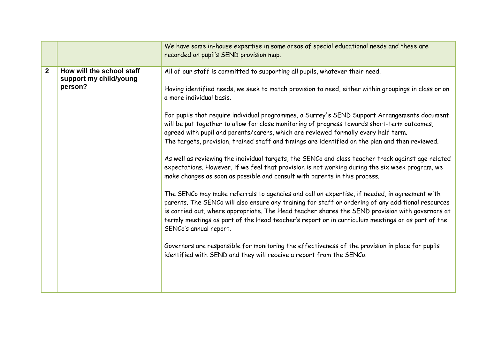|              |                                                                | We have some in-house expertise in some areas of special educational needs and these are<br>recorded on pupil's SEND provision map.                                                                                                                                                                                                                                                                                                                                                                                                                                                                                                                                                                                                                                                                                                                                                                                                                                                                                                                                                                                                                                                                                                                                                                                                                                                                                                                                                                             |
|--------------|----------------------------------------------------------------|-----------------------------------------------------------------------------------------------------------------------------------------------------------------------------------------------------------------------------------------------------------------------------------------------------------------------------------------------------------------------------------------------------------------------------------------------------------------------------------------------------------------------------------------------------------------------------------------------------------------------------------------------------------------------------------------------------------------------------------------------------------------------------------------------------------------------------------------------------------------------------------------------------------------------------------------------------------------------------------------------------------------------------------------------------------------------------------------------------------------------------------------------------------------------------------------------------------------------------------------------------------------------------------------------------------------------------------------------------------------------------------------------------------------------------------------------------------------------------------------------------------------|
| $\mathbf{2}$ | How will the school staff<br>support my child/young<br>person? | All of our staff is committed to supporting all pupils, whatever their need.<br>Having identified needs, we seek to match provision to need, either within groupings in class or on<br>a more individual basis.<br>For pupils that require individual programmes, a Surrey's SEND Support Arrangements document<br>will be put together to allow for close monitoring of progress towards short-term outcomes,<br>agreed with pupil and parents/carers, which are reviewed formally every half term.<br>The targets, provision, trained staff and timings are identified on the plan and then reviewed.<br>As well as reviewing the individual targets, the SENCo and class teacher track against age related<br>expectations. However, if we feel that provision is not working during the six week program, we<br>make changes as soon as possible and consult with parents in this process.<br>The SENCo may make referrals to agencies and call on expertise, if needed, in agreement with<br>parents. The SENCo will also ensure any training for staff or ordering of any additional resources<br>is carried out, where appropriate. The Head teacher shares the SEND provision with governors at<br>termly meetings as part of the Head teacher's report or in curriculum meetings or as part of the<br>SENCo's annual report.<br>Governors are responsible for monitoring the effectiveness of the provision in place for pupils<br>identified with SEND and they will receive a report from the SENCo. |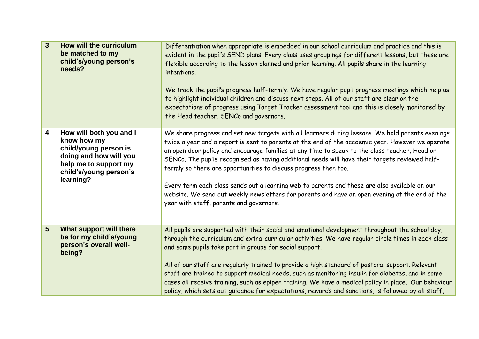| $\overline{3}$ | How will the curriculum<br>be matched to my<br>child's/young person's<br>needs?                                                                           | Differentiation when appropriate is embedded in our school curriculum and practice and this is<br>evident in the pupil's SEND plans. Every class uses groupings for different lessons, but these are<br>flexible according to the lesson planned and prior learning. All pupils share in the learning<br>intentions.<br>We track the pupil's progress half-termly. We have regular pupil progress meetings which help us<br>to highlight individual children and discuss next steps. All of our staff are clear on the<br>expectations of progress using Target Tracker assessment tool and this is closely monitored by<br>the Head teacher, SENCo and governors.                                                       |
|----------------|-----------------------------------------------------------------------------------------------------------------------------------------------------------|--------------------------------------------------------------------------------------------------------------------------------------------------------------------------------------------------------------------------------------------------------------------------------------------------------------------------------------------------------------------------------------------------------------------------------------------------------------------------------------------------------------------------------------------------------------------------------------------------------------------------------------------------------------------------------------------------------------------------|
| 4              | How will both you and I<br>know how my<br>child/young person is<br>doing and how will you<br>help me to support my<br>child's/young person's<br>learning? | We share progress and set new targets with all learners during lessons. We hold parents evenings<br>twice a year and a report is sent to parents at the end of the academic year. However we operate<br>an open door policy and encourage families at any time to speak to the class teacher, Head or<br>SENCo. The pupils recognised as having additional needs will have their targets reviewed half-<br>termly so there are opportunities to discuss progress then too.<br>Every term each class sends out a learning web to parents and these are also available on our<br>website. We send out weekly newsletters for parents and have an open evening at the end of the<br>year with staff, parents and governors. |
| 5              | What support will there<br>be for my child's/young<br>person's overall well-<br>being?                                                                    | All pupils are supported with their social and emotional development throughout the school day,<br>through the curriculum and extra-curricular activities. We have regular circle times in each class<br>and some pupils take part in groups for social support.<br>All of our staff are regularly trained to provide a high standard of pastoral support. Relevant<br>staff are trained to support medical needs, such as monitoring insulin for diabetes, and in some<br>cases all receive training, such as epipen training. We have a medical policy in place. Our behaviour<br>policy, which sets out guidance for expectations, rewards and sanctions, is followed by all staff,                                   |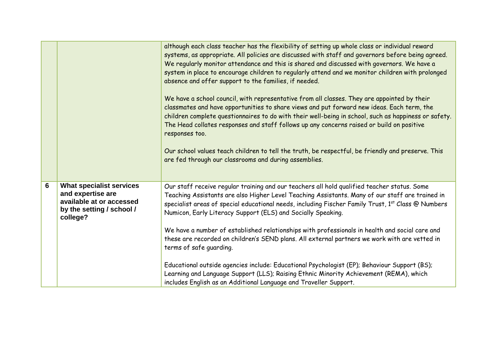|   |                                                                                                                           | although each class teacher has the flexibility of setting up whole class or individual reward<br>systems, as appropriate. All policies are discussed with staff and governors before being agreed.<br>We regularly monitor attendance and this is shared and discussed with governors. We have a<br>system in place to encourage children to regularly attend and we monitor children with prolonged<br>absence and offer support to the families, if needed.<br>We have a school council, with representative from all classes. They are appointed by their<br>classmates and have opportunities to share views and put forward new ideas. Each term, the<br>children complete questionnaires to do with their well-being in school, such as happiness or safety.<br>The Head collates responses and staff follows up any concerns raised or build on positive<br>responses too.<br>Our school values teach children to tell the truth, be respectful, be friendly and preserve. This<br>are fed through our classrooms and during assemblies. |
|---|---------------------------------------------------------------------------------------------------------------------------|--------------------------------------------------------------------------------------------------------------------------------------------------------------------------------------------------------------------------------------------------------------------------------------------------------------------------------------------------------------------------------------------------------------------------------------------------------------------------------------------------------------------------------------------------------------------------------------------------------------------------------------------------------------------------------------------------------------------------------------------------------------------------------------------------------------------------------------------------------------------------------------------------------------------------------------------------------------------------------------------------------------------------------------------------|
| 6 | <b>What specialist services</b><br>and expertise are<br>available at or accessed<br>by the setting / school /<br>college? | Our staff receive regular training and our teachers all hold qualified teacher status. Some<br>Teaching Assistants are also Higher Level Teaching Assistants. Many of our staff are trained in<br>specialist areas of special educational needs, including Fischer Family Trust, 1st Class @ Numbers<br>Numicon, Early Literacy Support (ELS) and Socially Speaking.<br>We have a number of established relationships with professionals in health and social care and<br>these are recorded on children's SEND plans. All external partners we work with are vetted in<br>terms of safe guarding.                                                                                                                                                                                                                                                                                                                                                                                                                                               |
|   |                                                                                                                           | Educational outside agencies include: Educational Psychologist (EP); Behaviour Support (BS);<br>Learning and Language Support (LLS); Raising Ethnic Minority Achievement (REMA), which<br>includes English as an Additional Language and Traveller Support.                                                                                                                                                                                                                                                                                                                                                                                                                                                                                                                                                                                                                                                                                                                                                                                      |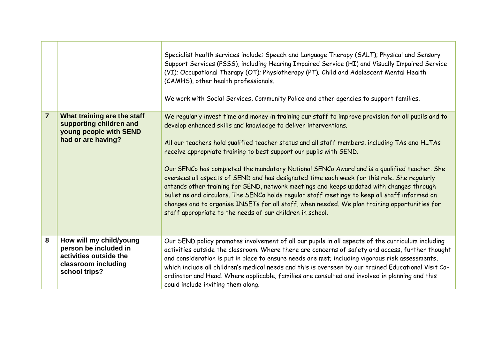|                |                                                                                                                    | Specialist health services include: Speech and Language Therapy (SALT); Physical and Sensory<br>Support Services (PSSS), including Hearing Impaired Service (HI) and Visually Impaired Service<br>(VI); Occupational Therapy (OT); Physiotherapy (PT); Child and Adolescent Mental Health<br>(CAMHS), other health professionals.<br>We work with Social Services, Community Police and other agencies to support families.                                                                                                                                                                                                                                                                                                                                                                                                                                                                           |
|----------------|--------------------------------------------------------------------------------------------------------------------|-------------------------------------------------------------------------------------------------------------------------------------------------------------------------------------------------------------------------------------------------------------------------------------------------------------------------------------------------------------------------------------------------------------------------------------------------------------------------------------------------------------------------------------------------------------------------------------------------------------------------------------------------------------------------------------------------------------------------------------------------------------------------------------------------------------------------------------------------------------------------------------------------------|
| $\overline{7}$ | What training are the staff<br>supporting children and<br>young people with SEND<br>had or are having?             | We regularly invest time and money in training our staff to improve provision for all pupils and to<br>develop enhanced skills and knowledge to deliver interventions.<br>All our teachers hold qualified teacher status and all staff members, including TAs and HLTAs<br>receive appropriate training to best support our pupils with SEND.<br>Our SENCo has completed the mandatory National SENCo Award and is a qualified teacher. She<br>oversees all aspects of SEND and has designated time each week for this role. She regularly<br>attends other training for SEND, network meetings and keeps updated with changes through<br>bulletins and circulars. The SENCo holds regular staff meetings to keep all staff informed on<br>changes and to organise INSETs for all staff, when needed. We plan training opportunities for<br>staff appropriate to the needs of our children in school. |
| 8              | How will my child/young<br>person be included in<br>activities outside the<br>classroom including<br>school trips? | Our SEND policy promotes involvement of all our pupils in all aspects of the curriculum including<br>activities outside the classroom. Where there are concerns of safety and access, further thought<br>and consideration is put in place to ensure needs are met; including vigorous risk assessments,<br>which include all children's medical needs and this is overseen by our trained Educational Visit Co-<br>ordinator and Head. Where applicable, families are consulted and involved in planning and this<br>could include inviting them along.                                                                                                                                                                                                                                                                                                                                              |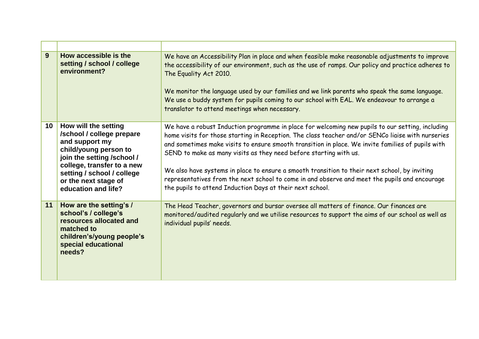| 9               | How accessible is the<br>setting / school / college<br>environment?                                                                                                                                                                   | We have an Accessibility Plan in place and when feasible make reasonable adjustments to improve<br>the accessibility of our environment, such as the use of ramps. Our policy and practice adheres to<br>The Equality Act 2010.<br>We monitor the language used by our families and we link parents who speak the same language.<br>We use a buddy system for pupils coming to our school with EAL. We endeavour to arrange a<br>translator to attend meetings when necessary.                                                                                                                                                                 |
|-----------------|---------------------------------------------------------------------------------------------------------------------------------------------------------------------------------------------------------------------------------------|------------------------------------------------------------------------------------------------------------------------------------------------------------------------------------------------------------------------------------------------------------------------------------------------------------------------------------------------------------------------------------------------------------------------------------------------------------------------------------------------------------------------------------------------------------------------------------------------------------------------------------------------|
| 10 <sup>1</sup> | How will the setting<br>/school / college prepare<br>and support my<br>child/young person to<br>join the setting /school /<br>college, transfer to a new<br>setting / school / college<br>or the next stage of<br>education and life? | We have a robust Induction programme in place for welcoming new pupils to our setting, including<br>home visits for those starting in Reception. The class teacher and/or SENCo liaise with nurseries<br>and sometimes make visits to ensure smooth transition in place. We invite families of pupils with<br>SEND to make as many visits as they need before starting with us.<br>We also have systems in place to ensure a smooth transition to their next school, by inviting<br>representatives from the next school to come in and observe and meet the pupils and encourage<br>the pupils to attend Induction Days at their next school. |
| 11              | How are the setting's /<br>school's / college's<br>resources allocated and<br>matched to<br>children's/young people's<br>special educational<br>needs?                                                                                | The Head Teacher, governors and bursar oversee all matters of finance. Our finances are<br>monitored/audited regularly and we utilise resources to support the aims of our school as well as<br>individual pupils' needs.                                                                                                                                                                                                                                                                                                                                                                                                                      |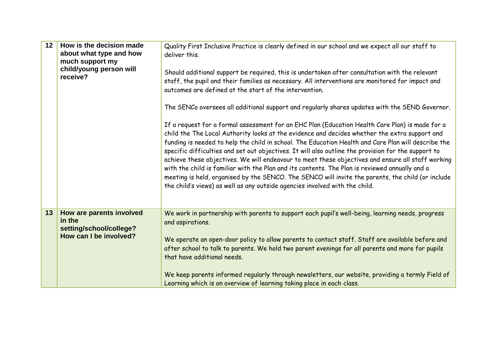| 12 <sup>1</sup> | How is the decision made<br>about what type and how<br>much support my<br>child/young person will<br>receive? | Quality First Inclusive Practice is clearly defined in our school and we expect all our staff to<br>deliver this.<br>Should additional support be required, this is undertaken after consultation with the relevant<br>staff, the pupil and their families as necessary. All interventions are monitored for impact and<br>outcomes are defined at the start of the intervention.                                                                                                                                                                                                                                                                                                                                                                                                                                                                                                                           |
|-----------------|---------------------------------------------------------------------------------------------------------------|-------------------------------------------------------------------------------------------------------------------------------------------------------------------------------------------------------------------------------------------------------------------------------------------------------------------------------------------------------------------------------------------------------------------------------------------------------------------------------------------------------------------------------------------------------------------------------------------------------------------------------------------------------------------------------------------------------------------------------------------------------------------------------------------------------------------------------------------------------------------------------------------------------------|
|                 |                                                                                                               | The SENCo oversees all additional support and regularly shares updates with the SEND Governor.<br>If a request for a formal assessment for an EHC Plan (Education Health Care Plan) is made for a<br>child the The Local Authority looks at the evidence and decides whether the extra support and<br>funding is needed to help the child in school. The Education Health and Care Plan will describe the<br>specific difficulties and set out objectives. It will also outline the provision for the support to<br>achieve these objectives. We will endeavour to meet these objectives and ensure all staff working<br>with the child is familiar with the Plan and its contents. The Plan is reviewed annually and a<br>meeting is held, organised by the SENCO. The SENCO will invite the parents, the child (or include<br>the child's views) as well as any outside agencies involved with the child. |
| 13              | How are parents involved<br>in the<br>setting/school/college?<br>How can I be involved?                       | We work in partnership with parents to support each pupil's well-being, learning needs, progress<br>and aspirations.<br>We operate an open-door policy to allow parents to contact staff. Staff are available before and<br>after school to talk to parents. We hold two parent evenings for all parents and more for pupils<br>that have additional needs.<br>We keep parents informed regularly through newsletters, our website, providing a termly Field of<br>Learning which is an overview of learning taking place in each class.                                                                                                                                                                                                                                                                                                                                                                    |